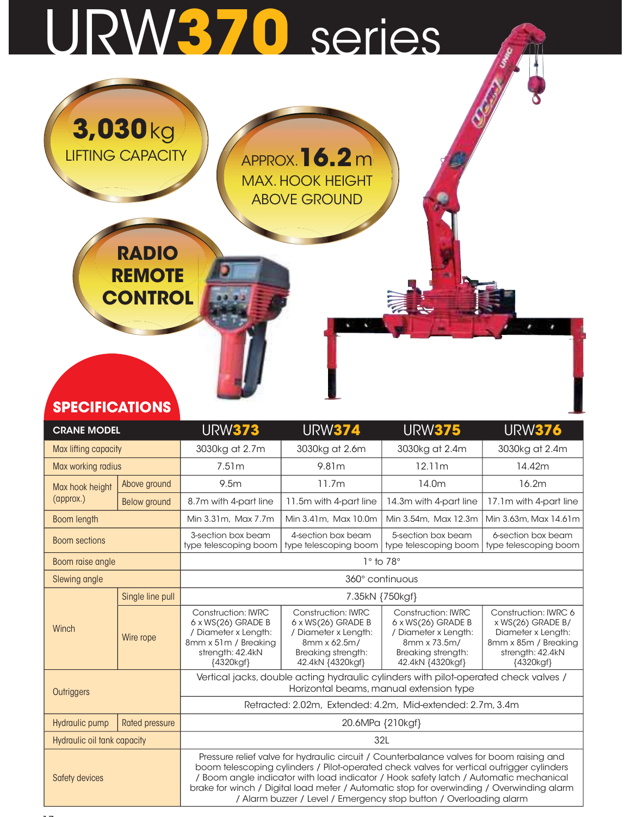## URW370 series

|                                             | 3,030 kg<br><b>LIFTING-CAPACITY</b><br><b>RADIO</b><br><b>REMOTE</b><br><b>CONTROL</b> |                                              | <b>APPROX.</b> 16.2 m<br><b>MAX. HOOK HEIGHT</b><br><b>ABOVE GROUND</b> |                                                |                                                 |
|---------------------------------------------|----------------------------------------------------------------------------------------|----------------------------------------------|-------------------------------------------------------------------------|------------------------------------------------|-------------------------------------------------|
| <b>SPECIFICATIONS</b><br><b>CRANE MODEL</b> |                                                                                        | <b>URW373</b>                                | <b>URW374</b>                                                           | <b>URW375</b>                                  | <b>URW376</b>                                   |
| Max lifting capacity                        |                                                                                        | 3030kg at 2.7m                               | 3030kg at 2.6m                                                          | 3030kg at 2.4m                                 | 3030kg at 2.4m                                  |
| Max working radius                          |                                                                                        | 7.51m                                        | 9.81m                                                                   | 12.11m                                         | 14.42m                                          |
|                                             | Above ground                                                                           | 9.5m                                         | 11.7m                                                                   | 14.0m                                          | 16.2m                                           |
| Max hook height<br>(approx.)                |                                                                                        |                                              |                                                                         |                                                |                                                 |
| Boom length                                 | Below ground                                                                           | 8.7m with 4-part line<br>Min 3.31m, Max 7.7m | 11.5m with 4-part line<br>Min 3.41m, Max 10.0m                          | 14.3m with 4-part line<br>Min 3.54m, Max 12.3m | 17.1m with 4-part line<br>Min 3.63m, Max 14.61m |
| <b>Boom sections</b>                        |                                                                                        | 3-section box beam<br>type telescoping boom  | 4-section box beam<br>type telescoping boom                             | 5-section box beam<br>type telescoping boom    | 6-section box beam<br>type telescoping boom     |
|                                             |                                                                                        |                                              |                                                                         |                                                |                                                 |

| Max hook height             | Above ground     | 9.5m                                                                                                                                                                                     | 11.7m                                                                                                                                                                                                                                                                                                                                                                                                              | 14.0m                                                                                                                                                                                                                                                                                                                                                                                                                                           | 16.2m                  |  |  |  |  |  |  |
|-----------------------------|------------------|------------------------------------------------------------------------------------------------------------------------------------------------------------------------------------------|--------------------------------------------------------------------------------------------------------------------------------------------------------------------------------------------------------------------------------------------------------------------------------------------------------------------------------------------------------------------------------------------------------------------|-------------------------------------------------------------------------------------------------------------------------------------------------------------------------------------------------------------------------------------------------------------------------------------------------------------------------------------------------------------------------------------------------------------------------------------------------|------------------------|--|--|--|--|--|--|
| (approx.)                   | Below ground     | 8.7m with 4-part line                                                                                                                                                                    | 11.5m with 4-part line                                                                                                                                                                                                                                                                                                                                                                                             | 14.3m with 4-part line                                                                                                                                                                                                                                                                                                                                                                                                                          | 17.1m with 4-part line |  |  |  |  |  |  |
| Boom length                 |                  | Min 3.31m, Max 7.7m                                                                                                                                                                      | Min 3.41m, Max 10.0m                                                                                                                                                                                                                                                                                                                                                                                               | Min 3.54m, Max 12.3m                                                                                                                                                                                                                                                                                                                                                                                                                            | Min 3.63m, Max 14.61m  |  |  |  |  |  |  |
| <b>Boom sections</b>        |                  | 3-section box beam<br>4-section box beam<br>5-section box beam<br>6-section box beam<br>type telescoping boom<br>type telescoping boom<br>type telescoping boom<br>type telescoping boom |                                                                                                                                                                                                                                                                                                                                                                                                                    |                                                                                                                                                                                                                                                                                                                                                                                                                                                 |                        |  |  |  |  |  |  |
| Boom raise angle            |                  |                                                                                                                                                                                          |                                                                                                                                                                                                                                                                                                                                                                                                                    | $1^\circ$ to 78 $^\circ$                                                                                                                                                                                                                                                                                                                                                                                                                        |                        |  |  |  |  |  |  |
| Slewing angle               |                  |                                                                                                                                                                                          |                                                                                                                                                                                                                                                                                                                                                                                                                    | 360° continuous                                                                                                                                                                                                                                                                                                                                                                                                                                 |                        |  |  |  |  |  |  |
|                             | Single line pull |                                                                                                                                                                                          |                                                                                                                                                                                                                                                                                                                                                                                                                    | 7.35kN {750kgf}                                                                                                                                                                                                                                                                                                                                                                                                                                 |                        |  |  |  |  |  |  |
| Winch                       | Wire rope        | <b>Construction: IWRC</b><br>$6 \times WS(26)$ GRADE B<br>/ Diameter x Length:<br>8mm x 51m / Breaking<br>strength: 42.4kN<br>{4320kgf}                                                  | <b>Construction: IWRC</b><br><b>Construction: IWRC</b><br>Construction: IWRC 6<br>$6 \times WS(26)$ GRADE B<br>$6 \times WS(26)$ GRADE B<br>$x$ WS(26) GRADE B/<br>/ Diameter x Length:<br>/ Diameter x Length:<br>Diameter x Length:<br>8mm x 62.5m/<br>8mm x 73.5m/<br>8mm x 85m / Breaking<br>Breaking strength:<br>Breaking strength:<br>strength: 42.4kN<br>42.4kN {4320kgf}<br>42.4kN {4320kgf}<br>{4320kgf} |                                                                                                                                                                                                                                                                                                                                                                                                                                                 |                        |  |  |  |  |  |  |
| Outriggers                  |                  |                                                                                                                                                                                          |                                                                                                                                                                                                                                                                                                                                                                                                                    | Vertical jacks, double acting hydraulic cylinders with pilot-operated check valves /<br>Horizontal beams, manual extension type                                                                                                                                                                                                                                                                                                                 |                        |  |  |  |  |  |  |
|                             |                  |                                                                                                                                                                                          |                                                                                                                                                                                                                                                                                                                                                                                                                    | Retracted: 2.02m, Extended: 4.2m, Mid-extended: 2.7m, 3.4m                                                                                                                                                                                                                                                                                                                                                                                      |                        |  |  |  |  |  |  |
| Hydraulic pump              | Rated pressure   |                                                                                                                                                                                          |                                                                                                                                                                                                                                                                                                                                                                                                                    | 20.6MPa {210kgf}                                                                                                                                                                                                                                                                                                                                                                                                                                |                        |  |  |  |  |  |  |
| Hydraulic oil tank capacity |                  |                                                                                                                                                                                          |                                                                                                                                                                                                                                                                                                                                                                                                                    | 32L                                                                                                                                                                                                                                                                                                                                                                                                                                             |                        |  |  |  |  |  |  |
| Safety devices              |                  |                                                                                                                                                                                          |                                                                                                                                                                                                                                                                                                                                                                                                                    | Pressure relief valve for hydraulic circuit / Counterbalance valves for boom raising and<br>boom telescoping cylinders / Pilot-operated check valves for vertical outrigger cylinders<br>Boom angle indicator with load indicator / Hook safety latch / Automatic mechanical<br>brake for winch / Digital load meter / Automatic stop for overwinding / Overwinding alarm<br>/ Alarm buzzer / Level / Emergency stop button / Overloading alarm |                        |  |  |  |  |  |  |